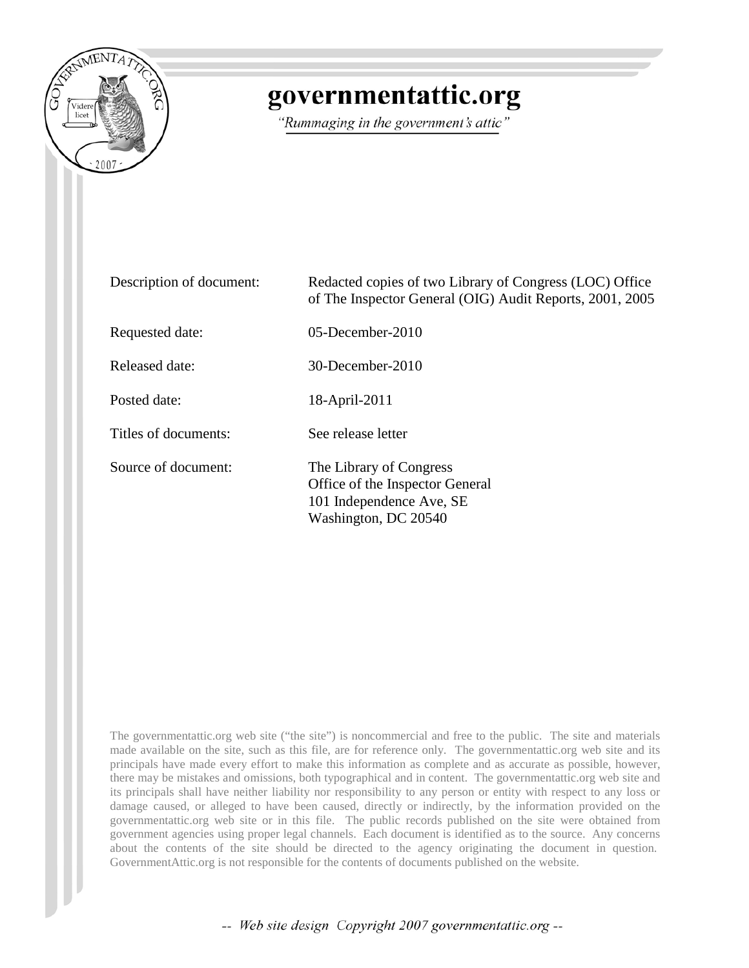

# governmentattic.org

"Rummaging in the government's attic"

| Description of document: | Redacted copies of two Library of Congress (LOC) Office<br>of The Inspector General (OIG) Audit Reports, 2001, 2005 |
|--------------------------|---------------------------------------------------------------------------------------------------------------------|
| Requested date:          | 05-December-2010                                                                                                    |
| Released date:           | 30-December-2010                                                                                                    |
| Posted date:             | 18-April-2011                                                                                                       |
| Titles of documents:     | See release letter                                                                                                  |
| Source of document:      | The Library of Congress<br>Office of the Inspector General<br>101 Independence Ave, SE<br>Washington, DC 20540      |

The governmentattic.org web site ("the site") is noncommercial and free to the public. The site and materials made available on the site, such as this file, are for reference only. The governmentattic.org web site and its principals have made every effort to make this information as complete and as accurate as possible, however, there may be mistakes and omissions, both typographical and in content. The governmentattic.org web site and its principals shall have neither liability nor responsibility to any person or entity with respect to any loss or damage caused, or alleged to have been caused, directly or indirectly, by the information provided on the governmentattic.org web site or in this file. The public records published on the site were obtained from government agencies using proper legal channels. Each document is identified as to the source. Any concerns about the contents of the site should be directed to the agency originating the document in question. GovernmentAttic.org is not responsible for the contents of documents published on the website.

-- Web site design Copyright 2007 governmentattic.org --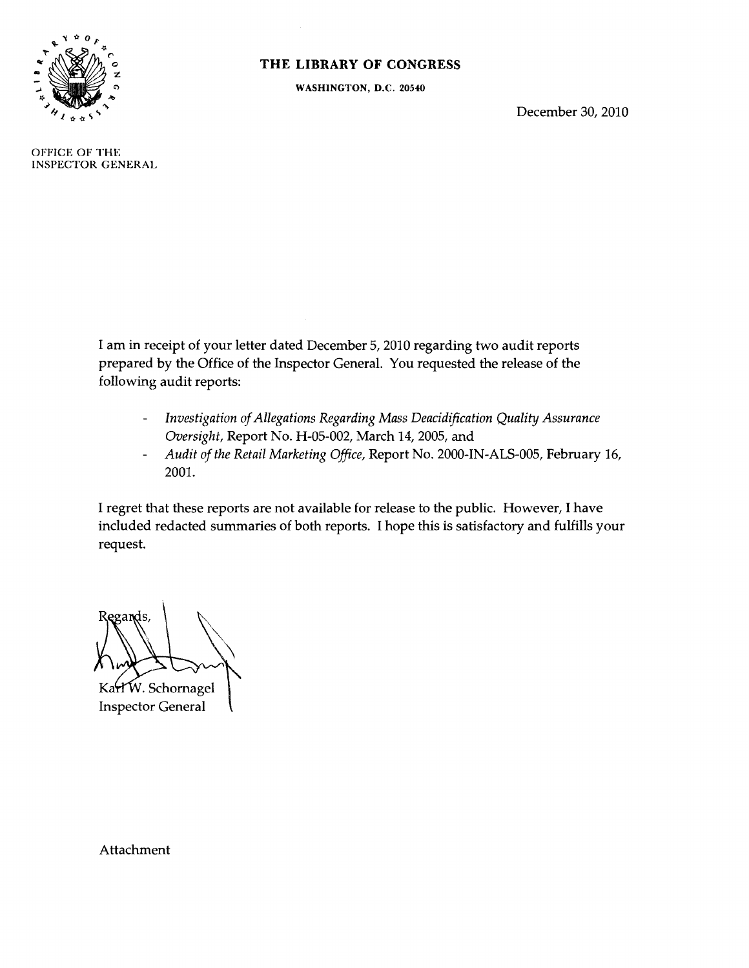

#### **THE LIBRARY OF CONGRESS**

WASHINGTON, D.C. 20540

December 30, 2010

OFFICE OF THE INSPECTOR GENERAL

> I am in receipt of your letter dated December 5, 2010 regarding two audit reports prepared by the Office of the Inspector General. You requested the release of the following audit reports:

- *Investigation of Allegations Regarding Mass Deacidification Quality Assurance*   $\frac{1}{2}$ *Oversight,* Report No. H-05-002, March 14, 2005, and
- *Audit of the Retail Marketing Office,* Report No. 2000-IN-ALS-005, February 16,  $\blacksquare$ 2001.

I regret that these reports are not available for release to the public. However, I have included redacted summaries of both reports. I hope this is satisfactory and fulfills your request.

egards

KarlW. Schornagel Inspector General

Attachment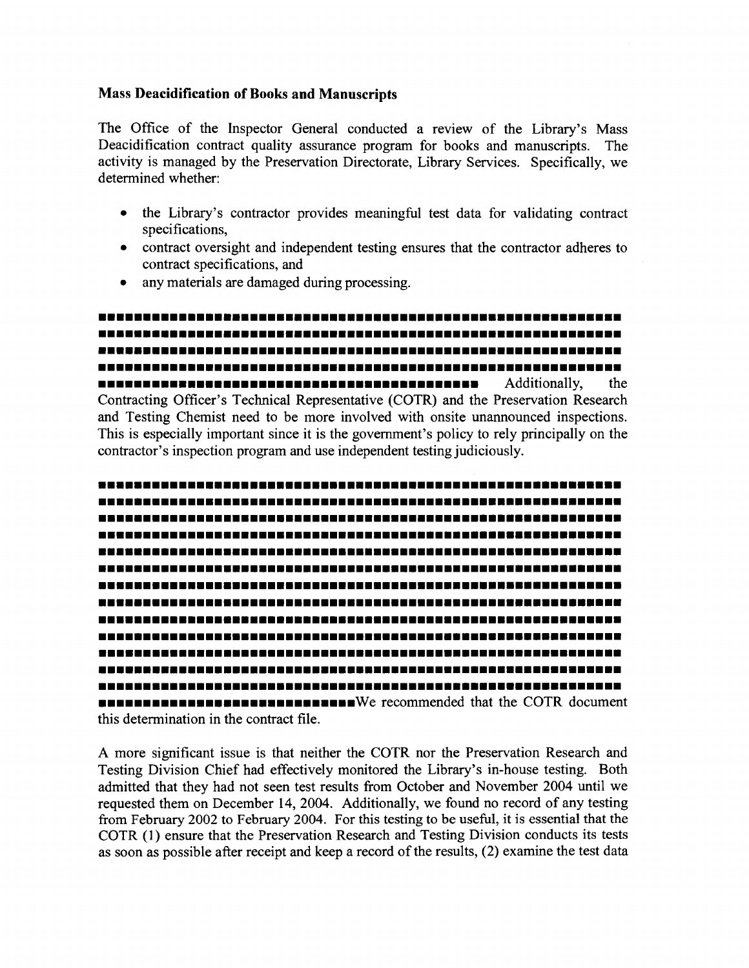#### Mass **Deacidification of Books and Manuscripts**

The Office of the Inspector General conducted a review of the Library's Mass Deacidification contract quality assurance program for books and manuscripts. The activity is managed by the Preservation Directorate, Library Services. Specifically, we determined whether:

- the Library's contractor provides meaningful test data for validating contract specifications,
- contract oversight and independent testing ensures that the contractor adheres to contract specifications, and
- any materials are damaged during processing.

••••••••••••••••••••••••••••••••••••••••••••••••••••••••••• ••••••••••••••••••••••••••••••••••••••••••••••••••••••••••• ••••••••••••••••••••••••••••••••••••••••••••••••••••••••••• ••••••••••••••••••••••••••••••••••••••••••••••••••••••••••• ••••••••••••••••••••••••••••••••••••••••••• Additionally, the Contracting Officer's Technical Representative (COTR) and the Preservation Research and Testing Chemist need to be more involved with onsite unannounced inspections. This is especially important since it is the government's policy to rely principally on the contractor's inspection program and use independent testing judiciously .



A more significant issue is that neither the COTR nor the Preservation Research and Testing Division Chief had effectively monitored the Library's in-house testing. Both admitted that they had not seen test results from October and November 2004 until we requested them on December 14, 2004. Additionally, we found no record of any testing from February 2002 to February 2004. For this testing to be useful, it is essential that the COTR (1) ensure that the Preservation Research and Testing Division conducts its tests as soon as possible after receipt and keep a record of the results, (2) examine the test data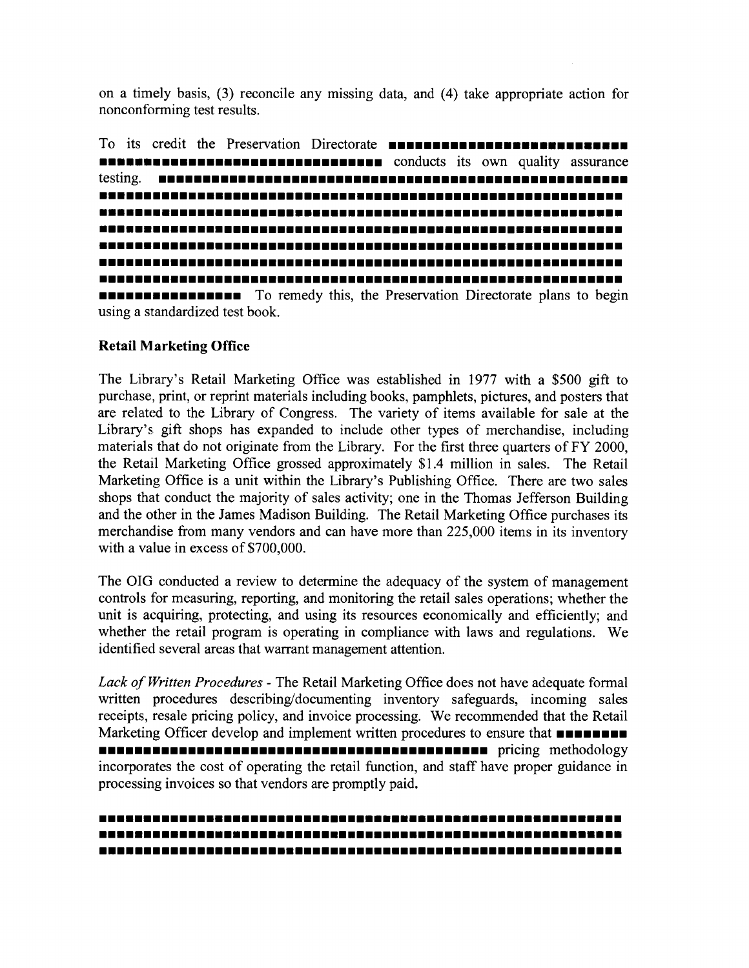on a timely basis, (3) reconcile any missing data, and (4) take appropriate action for nonconforming test results.

To its credit the Preservation Directorate ••••••••••••••••••••••••••• ••••••• •• •••••••• ••• ••• ••••••• • • conducts its own quality assurance testing. ••••••••••••••••••••••••••••••••••••••••••••••••••••• ••••••••••••••••••••••••••••••••••••••••••••••••••••••••••• ••••••••••••••••••••••••••••••••••••••••••••••••••••••••••• ••••••••••••••••••••••••••••••••••••••••••••••••••••••••••• ••••••••••••••••••••••••••••••••••••••••••••••••••••••••••• ••••••••••••••••••••••••••••••••••••••••••••••••••••••••••• ••••••••••••••••••••••••••••••••••••••••••••••••••••••••••• **EXECUTE:** To remedy this, the Preservation Directorate plans to begin

#### **Retail Marketing Office**

using a standardized test book.

The Library's Retail Marketing Office was established in 1977 with a \$500 gift to purchase, print, or reprint materials including books, pamphlets, pictures, and posters that are related to the Library of Congress. The variety of items available for sale at the Library's gift shops has expanded to include other types of merchandise, including materials that do not originate from the Library. For the first three quarters of FY 2000, the Retail Marketing Office grossed approximately \$1.4 million in sales. The Retail Marketing Office is a unit within the Library's Publishing Office. There are two sales shops that conduct the majority of sales activity; one in the Thomas Jefferson Building and the other in the James Madison Building. The Retail Marketing Office purchases its merchandise from many vendors and can have more than 225,000 items in its inventory with a value in excess of \$700,000.

The OIG conducted a review to determine the adequacy of the system of management controls for measuring, reporting, and monitoring the retail sales operations; whether the unit is acquiring, protecting, and using its resources economically and efficiently; and whether the retail program is operating in compliance with laws and regulations. We identified several areas that warrant management attention.

*Lack of Written Procedures* - The Retail Marketing Office does not have adequate formal written procedures describing/documenting inventory safeguards, incoming sales receipts, resale pricing policy, and invoice processing. We recommended that the Retail Marketing Officer develop and implement written procedures to ensure that •••••••• incorporates the cost of operating the retail function, and staff have proper guidance in processing invoices so that vendors are promptly paid.

### ••••••••••••••••••••••••••••••••••••••••••••••••••••••••••• ••••••••••••••••••••••••••••••••••••••••••••••••••••••••••• •••••••••••••••••••••••••••••••••••••••••••••••••••••••••••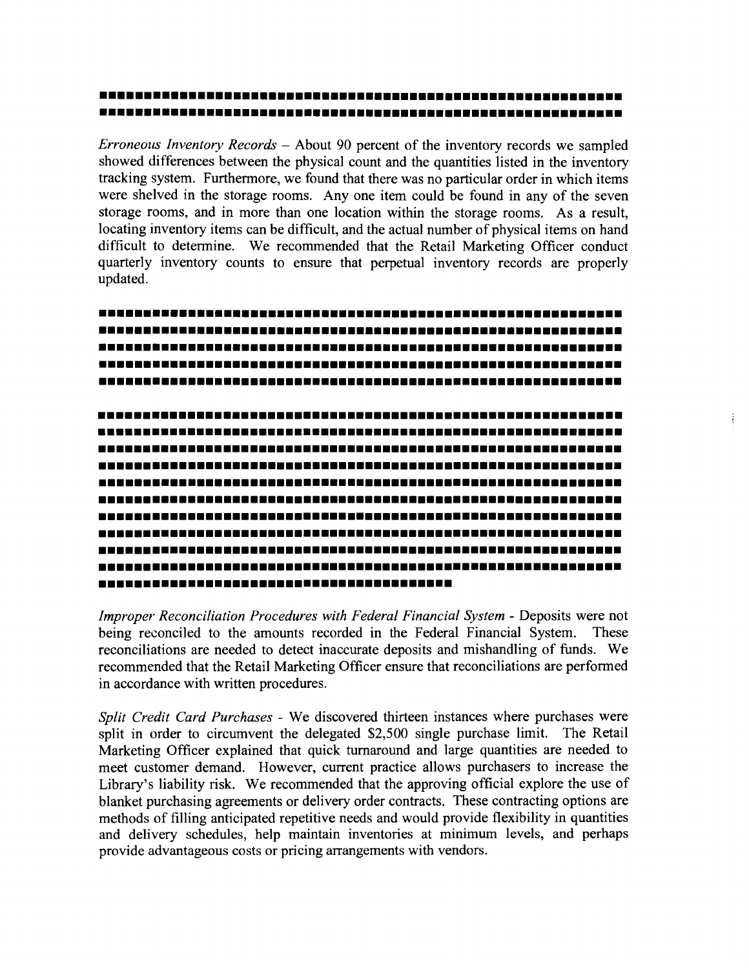## ••••••••••••••••••••••••••••••••••••••••••••••••••••••••••• •••••••••••••••••••••••••••••••••••••••••••••••••••••••••••

*Erroneous Inventory Records* - About 90 percent of the inventory records we sampled showed differences between the physical count and the quantities listed in the inventory tracking system. Furthermore, we found that there was no particular order in which items were shelved in the storage rooms. Any one item could be found in any of the seven storage rooms, and in more than one location within the storage rooms. As a result, locating inventory items can be difficult, and the actual number of physical items on hand difficult to determine. We recommended that the Retail Marketing Officer conduct quarterly inventory counts to ensure that perpetual inventory records are properly updated.

••••••••••••••••••••••••••••••••••••••••••••••••••••••••••• ••••••••••••••••••••••••••••••••••••••••••••••••••••••••••• ••••••••••••••••••••••••••••••••••••••••••••••••••••••••••• ••••••••••••••••••••••••••••••••••••••••••••••••••••••••••• ••••••••••••••••••••••••••••••••••••••••••••••••••••••••••• ••••••••••••••••••••••••••••••••••••••••••••••••••••••••••• ••••••••••••••••••••••••••••••••••••••••••••••••••••••••••• ••••••••••••••••••••••••••••••••••••••••••••••••••••••••••• ••••••••••••••••••••••••••••••••••••••••••••••••••••••••••• ••••••••••••••••••••••••••••••••••••••••••••••••••••••••••• ••••••••••••••••••••••••••••••••••••••••••••••••••••••••••• ••••••••••••••••••••••••••••••••••••••••••••••••••••••••••• ••••••••••••••••••••••••••••••••••••••••••••••••••••••••••• ••••••••••••••••••••••••••••••••••••••••••••••••••••••••••• ••••••••••••••••••••••••••••••••••••••••••••••••••••••••••• ••••••••••••••••••••••••••••••••••••••••

*Improper Reconciliation Procedures with Federal Financial System-* Deposits were not being reconciled to the amounts recorded in the Federal Financial System. These reconciliations are needed to detect inaccurate deposits and mishandling of funds. We recommended that the Retail Marketing Officer ensure that reconciliations are performed in accordance with written procedures.

*Split Credit Card Purchases* - We discovered thirteen instances where purchases were split in order to circumvent the delegated \$2,500 single purchase limit. The Retail Marketing Officer explained that quick turnaround and large quantities are needed to meet customer demand. However, current practice allows purchasers to increase the Library's liability risk. We recommended that the approving official explore the use of blanket purchasing agreements or delivery order contracts. These contracting options are methods of filling anticipated repetitive needs and would provide flexibility in quantities and delivery schedules, help maintain inventories at minimum levels, and perhaps provide advantageous costs or pricing arrangements with vendors.